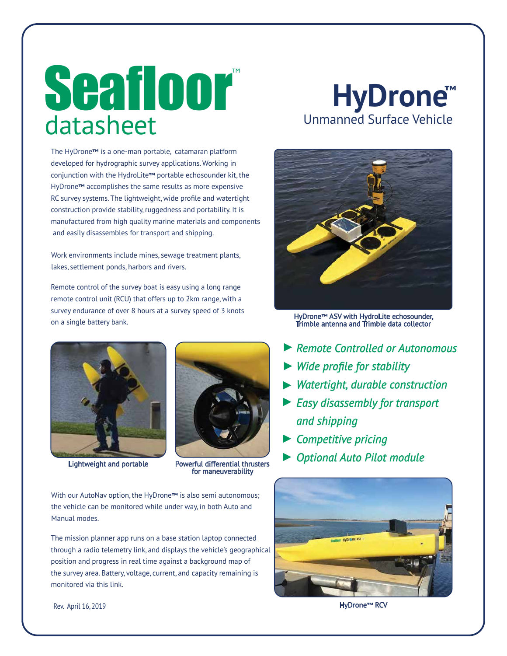# datasheet Seafloor

The HyDrone**™** is a one-man portable, catamaran platform developed for hydrographic survey applications. Working in conjunction with the HydroLite**™** portable echosounder kit, the HyDrone**™** accomplishes the same results as more expensive RC survey systems. The lightweight, wide profile and watertight construction provide stability, ruggedness and portability. It is manufactured from high quality marine materials and components and easily disassembles for transport and shipping.

Work environments include mines, sewage treatment plants, lakes, settlement ponds, harbors and rivers.

Remote control of the survey boat is easy using a long range remote control unit (RCU) that offers up to 2km range, with a survey endurance of over 8 hours at a survey speed of 3 knots on a single battery bank.





Lightweight and portable Powerful differential thrusters for maneuverability

With our AutoNav option, the HyDrone**™** is also semi autonomous; the vehicle can be monitored while under way, in both Auto and Manual modes.

The mission planner app runs on a base station laptop connected through a radio telemetry link, and displays the vehicle's geographical position and progress in real time against a background map of the survey area. Battery, voltage, current, and capacity remaining is monitored via this link.

## **HyDrone ™** Unmanned Surface Vehicle



HyDrone**™** ASV with HydroLite echosounder, Trimble antenna and Trimble data collector

- ▶ Remote Controlled or Autonomous
- *Wide profile for stability* ►
- *Watertight, durable construction* ►
- *Easy disassembly for transport* ► *and shipping*
- *Competitive pricing* ►
- *Optional Auto Pilot module* ►



Rev. April 16, 2019 HyDrone**™** RCV